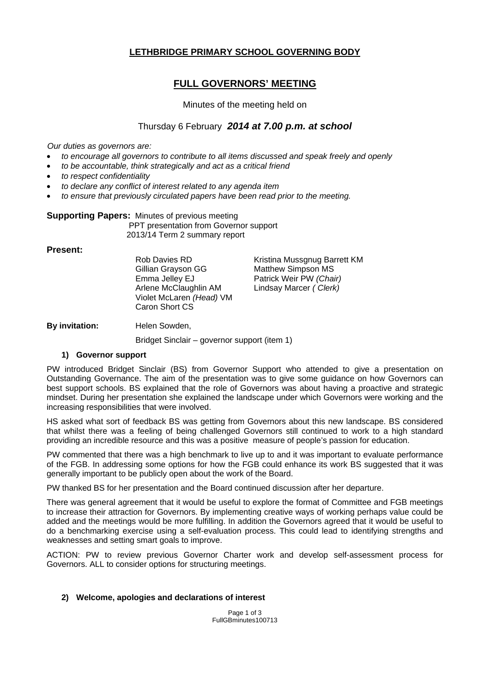# **LETHBRIDGE PRIMARY SCHOOL GOVERNING BODY**

# **FULL GOVERNORS' MEETING**

#### Minutes of the meeting held on

### Thursday 6 February *2014 at 7.00 p.m. at school*

*Our duties as governors are:* 

- *to encourage all governors to contribute to all items discussed and speak freely and openly*
- *to be accountable, think strategically and act as a critical friend*
- *to respect confidentiality*
- *to declare any conflict of interest related to any agenda item*
- *to ensure that previously circulated papers have been read prior to the meeting.*

# **Supporting Papers:** Minutes of previous meeting

 PPT presentation from Governor support 2013/14 Term 2 summary report

#### **Present:**

Gillian Grayson GG Matthew Simpson MS Emma Jelley EJ Patrick Weir PW *(Chair)*  Arlene McClaughlin AM Lindsay Marcer *( Clerk)* Violet McLaren *(Head)* VM Caron Short CS

Rob Davies RD Kristina Mussgnug Barrett KM

**By invitation:** Helen Sowden,

Bridget Sinclair – governor support (item 1)

#### **1) Governor support**

PW introduced Bridget Sinclair (BS) from Governor Support who attended to give a presentation on Outstanding Governance. The aim of the presentation was to give some guidance on how Governors can best support schools. BS explained that the role of Governors was about having a proactive and strategic mindset. During her presentation she explained the landscape under which Governors were working and the increasing responsibilities that were involved.

HS asked what sort of feedback BS was getting from Governors about this new landscape. BS considered that whilst there was a feeling of being challenged Governors still continued to work to a high standard providing an incredible resource and this was a positive measure of people's passion for education.

PW commented that there was a high benchmark to live up to and it was important to evaluate performance of the FGB. In addressing some options for how the FGB could enhance its work BS suggested that it was generally important to be publicly open about the work of the Board.

PW thanked BS for her presentation and the Board continued discussion after her departure.

There was general agreement that it would be useful to explore the format of Committee and FGB meetings to increase their attraction for Governors. By implementing creative ways of working perhaps value could be added and the meetings would be more fulfilling. In addition the Governors agreed that it would be useful to do a benchmarking exercise using a self-evaluation process. This could lead to identifying strengths and weaknesses and setting smart goals to improve.

ACTION: PW to review previous Governor Charter work and develop self-assessment process for Governors. ALL to consider options for structuring meetings.

#### **2) Welcome, apologies and declarations of interest**

Page 1 of 3 FullGBminutes100713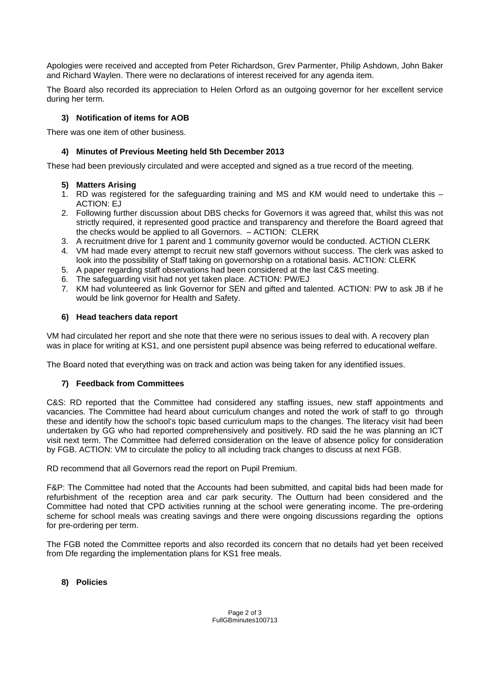Apologies were received and accepted from Peter Richardson, Grev Parmenter, Philip Ashdown, John Baker and Richard Waylen. There were no declarations of interest received for any agenda item.

The Board also recorded its appreciation to Helen Orford as an outgoing governor for her excellent service during her term.

### **3) Notification of items for AOB**

There was one item of other business.

### **4) Minutes of Previous Meeting held 5th December 2013**

These had been previously circulated and were accepted and signed as a true record of the meeting.

### **5) Matters Arising**

- 1. RD was registered for the safeguarding training and MS and KM would need to undertake this ACTION: EJ
- 2. Following further discussion about DBS checks for Governors it was agreed that, whilst this was not strictly required, it represented good practice and transparency and therefore the Board agreed that the checks would be applied to all Governors. – ACTION: CLERK
- 3. A recruitment drive for 1 parent and 1 community governor would be conducted. ACTION CLERK
- 4. VM had made every attempt to recruit new staff governors without success. The clerk was asked to look into the possibility of Staff taking on governorship on a rotational basis. ACTION: CLERK
- 5. A paper regarding staff observations had been considered at the last C&S meeting.
- 6. The safeguarding visit had not yet taken place. ACTION: PW/EJ
- 7. KM had volunteered as link Governor for SEN and gifted and talented. ACTION: PW to ask JB if he would be link governor for Health and Safety.

### **6) Head teachers data report**

VM had circulated her report and she note that there were no serious issues to deal with. A recovery plan was in place for writing at KS1, and one persistent pupil absence was being referred to educational welfare.

The Board noted that everything was on track and action was being taken for any identified issues.

### **7) Feedback from Committees**

C&S: RD reported that the Committee had considered any staffing issues, new staff appointments and vacancies. The Committee had heard about curriculum changes and noted the work of staff to go through these and identify how the school's topic based curriculum maps to the changes. The literacy visit had been undertaken by GG who had reported comprehensively and positively. RD said the he was planning an ICT visit next term. The Committee had deferred consideration on the leave of absence policy for consideration by FGB. ACTION: VM to circulate the policy to all including track changes to discuss at next FGB.

RD recommend that all Governors read the report on Pupil Premium.

F&P: The Committee had noted that the Accounts had been submitted, and capital bids had been made for refurbishment of the reception area and car park security. The Outturn had been considered and the Committee had noted that CPD activities running at the school were generating income. The pre-ordering scheme for school meals was creating savings and there were ongoing discussions regarding the options for pre-ordering per term.

The FGB noted the Committee reports and also recorded its concern that no details had yet been received from Dfe regarding the implementation plans for KS1 free meals.

### **8) Policies**